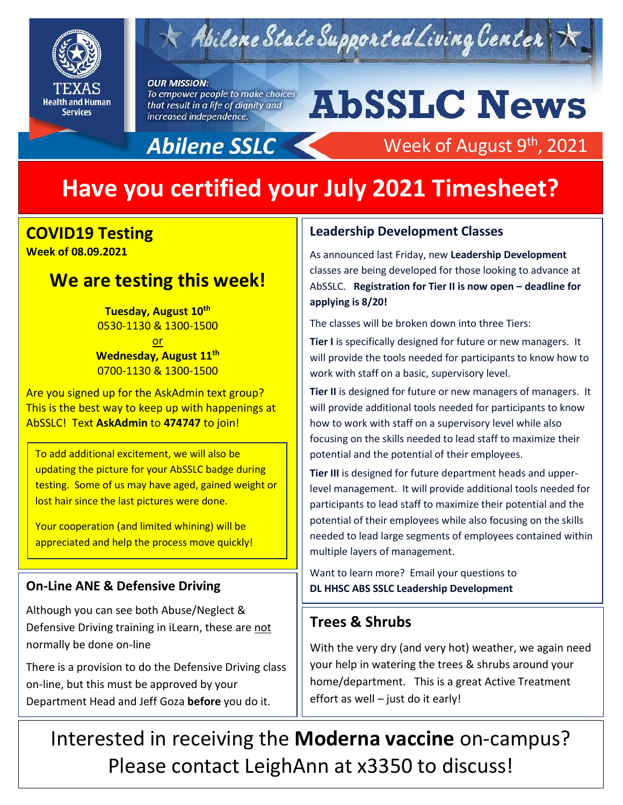

## $\times$  Abilene State Supported Living Center

#### **OUR MISSION:**

To empower people to make choices that result in a life of dignity and increased independence.

Abilene SSLC

# **AbSSLC News**

Week of August 9<sup>th</sup>, 2021

## **Have you certified your July 2021 Timesheet?**

## **COVID19 Testing**

**Week of 08.09.2021** 

### **We are testing this week!**

**Tuesday, August 10th** 0530-1130 & 1300-1500

or **Wednesday, August 11th** 0700-1130 & 1300-1500

Are you signed up for the AskAdmin text group? This is the best way to keep up with happenings at AbSSLC! Text **AskAdmin** to **474747** to join!

To add additional excitement, we will also be updating the picture for your AbSSLC badge during testing. Some of us may have aged, gained weight or lost hair since the last pictures were done.

Your cooperation (and limited whining) will be appreciated and help the process move quickly!

#### **On-Line ANE & Defensive Driving**

Although you can see both Abuse/Neglect & Defensive Driving training in iLearn, these are not normally be done on-line

There is a provision to do the Defensive Driving class on-line, but this must be approved by your Department Head and Jeff Goza **before** you do it.

#### **Leadership Development Classes**

As announced last Friday, new **Leadership Development** classes are being developed for those looking to advance at AbSSLC. **Registration for Tier II is now open – deadline for applying is 8/20!**

The classes will be broken down into three Tiers:

**Tier I** is specifically designed for future or new managers. It will provide the tools needed for participants to know how to work with staff on a basic, supervisory level.

Ther intist designed for future or new managers or managers.<br>will provide additional tools needed for participants to know **Tier II** is designed for future or new managers of managers. It how to work with staff on a supervisory level while also focusing on the skills needed to lead staff to maximize their potential and the potential of their employees.

**Tier III** is designed for future department heads and upperlevel management. It will provide additional tools needed for participants to lead staff to maximize their potential and the potential of their employees while also focusing on the skills needed to lead large segments of employees contained within multiple layers of management.

Want to learn more? Email your questions to **DL HHSC ABS SSLC Leadership Development** 

#### **Trees & Shrubs**

With the very dry (and very hot) weather, we again need your help in watering the trees & shrubs around your home/department. This is a great Active Treatment effort as well – just do it early!

Interested in receiving the **Moderna vaccine** on-campus? Please contact LeighAnn at x3350 to discuss!